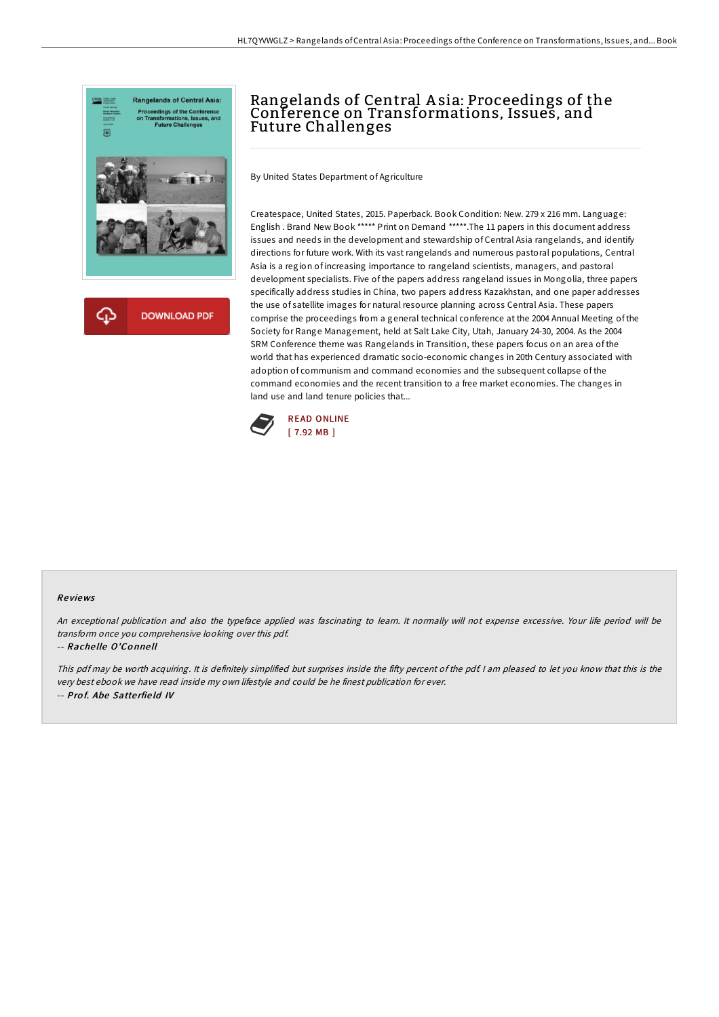

## Rangelands of Central A sia: Proceedings of the Conference on Transformations, Issues, and Future Challenges

By United States Department of Agriculture

Createspace, United States, 2015. Paperback. Book Condition: New. 279 x 216 mm. Language: English . Brand New Book \*\*\*\*\* Print on Demand \*\*\*\*\*.The 11 papers in this document address issues and needs in the development and stewardship of Central Asia rangelands, and identify directions for future work. With its vast rangelands and numerous pastoral populations, Central Asia is a region of increasing importance to rangeland scientists, managers, and pastoral development specialists. Five of the papers address rangeland issues in Mongolia, three papers specifically address studies in China, two papers address Kazakhstan, and one paper addresses the use of satellite images for natural resource planning across Central Asia. These papers comprise the proceedings from a general technical conference at the 2004 Annual Meeting of the Society for Range Management, held at Salt Lake City, Utah, January 24-30, 2004. As the 2004 SRM Conference theme was Rangelands in Transition, these papers focus on an area of the world that has experienced dramatic socio-economic changes in 20th Century associated with adoption of communism and command economies and the subsequent collapse of the command economies and the recent transition to a free market economies. The changes in land use and land tenure policies that...



## Re views

An exceptional publication and also the typeface applied was fascinating to learn. It normally will not expense excessive. Your life period will be transform once you comprehensive looking over this pdf.

## -- Rache lle O'Co nne ll

This pdf may be worth acquiring. It is definitely simplified but surprises inside the fifty percent of the pdf. I am pleased to let you know that this is the very best ebook we have read inside my own lifestyle and could be he finest publication for ever. -- Prof. Abe Satterfield IV